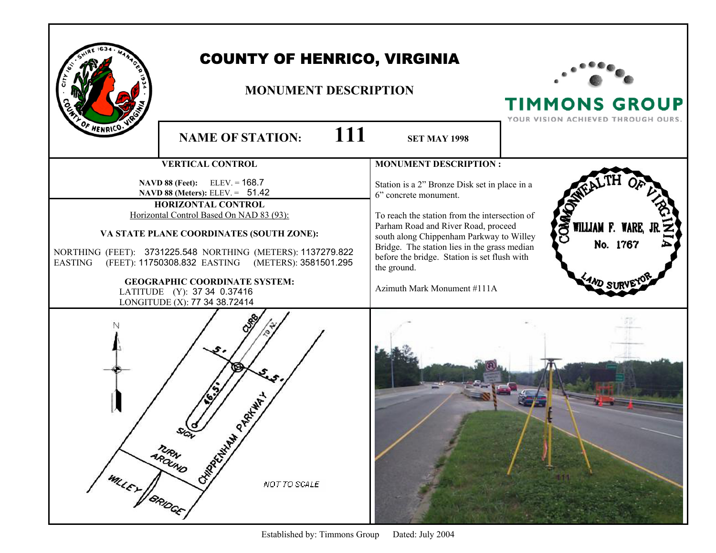|                       | <b>COUNTY OF HENRICO, VIRGINIA</b><br><b>MONUMENT DESCRIPTION</b>                                                                                                                                                                                                                                                                                                                                                  |                                                                                                                                                                                                                                                                                                                                                          | <b>TIMMONS GROUP</b><br>YOUR VISION ACHIEVED THROUGH OURS. |
|-----------------------|--------------------------------------------------------------------------------------------------------------------------------------------------------------------------------------------------------------------------------------------------------------------------------------------------------------------------------------------------------------------------------------------------------------------|----------------------------------------------------------------------------------------------------------------------------------------------------------------------------------------------------------------------------------------------------------------------------------------------------------------------------------------------------------|------------------------------------------------------------|
| F HENRICO.            | 111<br><b>NAME OF STATION:</b>                                                                                                                                                                                                                                                                                                                                                                                     | <b>SET MAY 1998</b>                                                                                                                                                                                                                                                                                                                                      |                                                            |
|                       | <b>VERTICAL CONTROL</b>                                                                                                                                                                                                                                                                                                                                                                                            | <b>MONUMENT DESCRIPTION:</b>                                                                                                                                                                                                                                                                                                                             |                                                            |
| <b>EASTING</b>        | NAVD 88 (Feet): ELEV. = 168.7<br>NAVD 88 (Meters): ELEV. = 51.42<br><b>HORIZONTAL CONTROL</b><br>Horizontal Control Based On NAD 83 (93):<br>VA STATE PLANE COORDINATES (SOUTH ZONE):<br>NORTHING (FEET): 3731225.548 NORTHING (METERS): 1137279.822<br>(FEET): 11750308.832 EASTING (METERS): 3581501.295<br><b>GEOGRAPHIC COORDINATE SYSTEM:</b><br>LATITUDE (Y): 37 34 0.37416<br>LONGITUDE (X): 77 34 38.72414 | Station is a 2" Bronze Disk set in place in a<br>6" concrete monument.<br>To reach the station from the intersection of<br>Parham Road and River Road, proceed<br>south along Chippenham Parkway to Willey<br>Bridge. The station lies in the grass median<br>before the bridge. Station is set flush with<br>the ground.<br>Azimuth Mark Monument #111A | WILLIAM F. WARE,<br>No. 1767                               |
| <b>WILEY / BRIDGE</b> | PARKHAY<br>CHIMPAGNAM<br><b>MRAND</b><br>NOT TO SCALE                                                                                                                                                                                                                                                                                                                                                              |                                                                                                                                                                                                                                                                                                                                                          |                                                            |